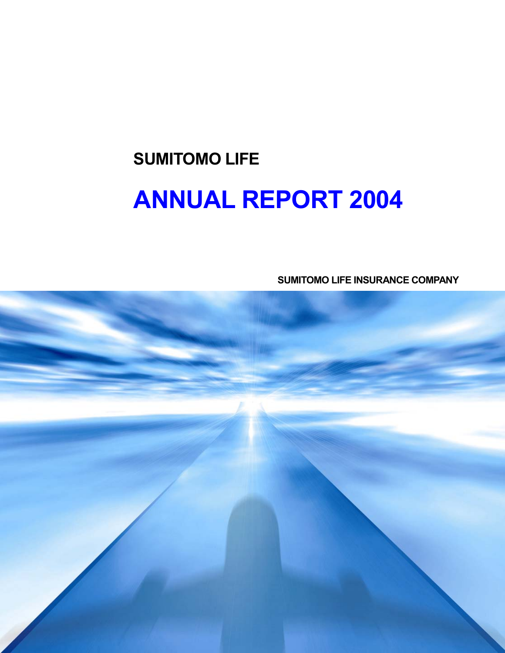# **SUMITOMO LIFE ANNUAL REPORT 2004**

**SUMITOMO LIFE INSURANCE COMPANY** 

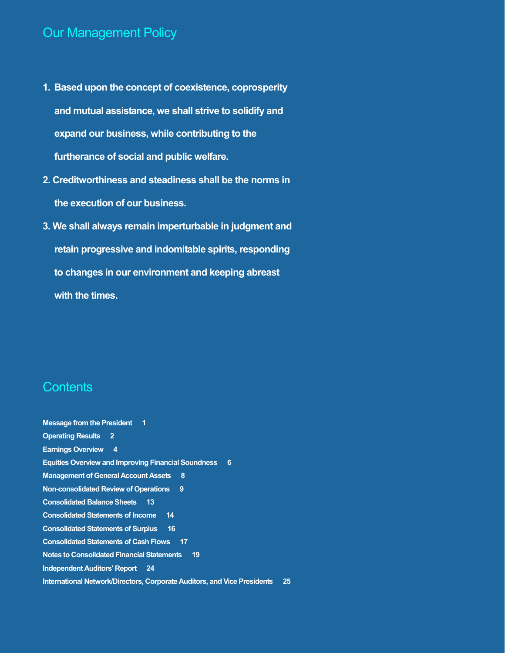### Our Management Policy

- **1. Based upon the concept of coexistence, coprosperity and mutual assistance, we shall strive to solidify and expand our business, while contributing to the furtherance of social and public welfare.**
- **2. Creditworthiness and steadiness shall be the norms in the execution of our business.**
- **3. We shall always remain imperturbable in judgment and retain progressive and indomitable spirits, responding to changes in our environment and keeping abreast with the times.**

### **Contents**

**Message from the President 1 Operating Results 2 Earnings Overview 4 Equities Overview and Improving Financial Soundness 6 Management of General Account Assets 8 Non-consolidated Review of Operations 9 Consolidated Balance Sheets 13 Consolidated Statements of Income 14 Consolidated Statements of Surplus 16 Consolidated Statements of Cash Flows 17 Notes to Consolidated Financial Statements 19 Independent Auditors' Report 24 International Network/Directors, Corporate Auditors, and Vice Presidents 25**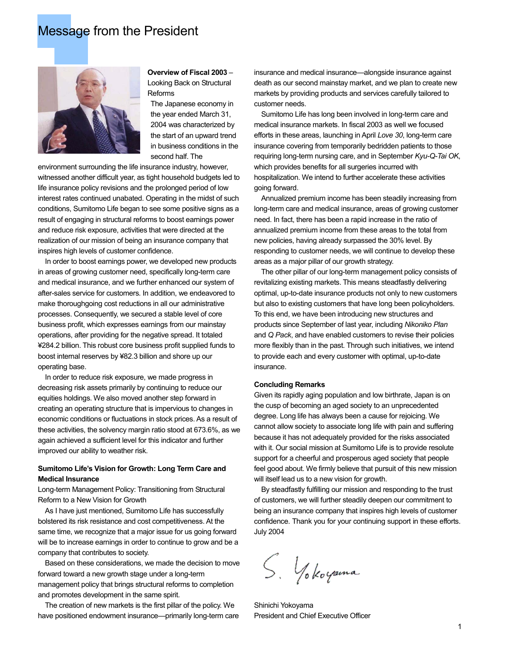### Message from the President



**Overview of Fiscal 2003** – Looking Back on Structural Reforms

The Japanese economy in the year ended March 31, 2004 was characterized by the start of an upward trend in business conditions in the second half. The

environment surrounding the life insurance industry, however, witnessed another difficult year, as tight household budgets led to life insurance policy revisions and the prolonged period of low interest rates continued unabated. Operating in the midst of such conditions, Sumitomo Life began to see some positive signs as a result of engaging in structural reforms to boost earnings power and reduce risk exposure, activities that were directed at the realization of our mission of being an insurance company that inspires high levels of customer confidence.

 In order to boost earnings power, we developed new products in areas of growing customer need, specifically long-term care and medical insurance, and we further enhanced our system of after-sales service for customers. In addition, we endeavored to make thoroughgoing cost reductions in all our administrative processes. Consequently, we secured a stable level of core business profit, which expresses earnings from our mainstay operations, after providing for the negative spread. It totaled ¥284.2 billion. This robust core business profit supplied funds to boost internal reserves by ¥82.3 billion and shore up our operating base.

 In order to reduce risk exposure, we made progress in decreasing risk assets primarily by continuing to reduce our equities holdings. We also moved another step forward in creating an operating structure that is impervious to changes in economic conditions or fluctuations in stock prices. As a result of these activities, the solvency margin ratio stood at 673.6%, as we again achieved a sufficient level for this indicator and further improved our ability to weather risk.

#### **Sumitomo Life's Vision for Growth: Long Term Care and Medical Insurance**

Long-term Management Policy: Transitioning from Structural Reform to a New Vision for Growth

 As I have just mentioned, Sumitomo Life has successfully bolstered its risk resistance and cost competitiveness. At the same time, we recognize that a major issue for us going forward will be to increase earnings in order to continue to grow and be a company that contributes to society.

 Based on these considerations, we made the decision to move forward toward a new growth stage under a long-term management policy that brings structural reforms to completion and promotes development in the same spirit.

 The creation of new markets is the first pillar of the policy. We have positioned endowment insurance—primarily long-term care insurance and medical insurance—alongside insurance against death as our second mainstay market, and we plan to create new markets by providing products and services carefully tailored to customer needs.

 Sumitomo Life has long been involved in long-term care and medical insurance markets. In fiscal 2003 as well we focused efforts in these areas, launching in April *Love 30*, long-term care insurance covering from temporarily bedridden patients to those requiring long-term nursing care, and in September *Kyu-Q-Tai OK*, which provides benefits for all surgeries incurred with hospitalization. We intend to further accelerate these activities going forward.

 Annualized premium income has been steadily increasing from long-term care and medical insurance, areas of growing customer need. In fact, there has been a rapid increase in the ratio of annualized premium income from these areas to the total from new policies, having already surpassed the 30% level. By responding to customer needs, we will continue to develop these areas as a major pillar of our growth strategy.

 The other pillar of our long-term management policy consists of revitalizing existing markets. This means steadfastly delivering optimal, up-to-date insurance products not only to new customers but also to existing customers that have long been policyholders. To this end, we have been introducing new structures and products since September of last year, including *Nikoniko Plan* and *Q Pack*, and have enabled customers to revise their policies more flexibly than in the past. Through such initiatives, we intend to provide each and every customer with optimal, up-to-date insurance.

#### **Concluding Remarks**

Given its rapidly aging population and low birthrate, Japan is on the cusp of becoming an aged society to an unprecedented degree. Long life has always been a cause for rejoicing. We cannot allow society to associate long life with pain and suffering because it has not adequately provided for the risks associated with it. Our social mission at Sumitomo Life is to provide resolute support for a cheerful and prosperous aged society that people feel good about. We firmly believe that pursuit of this new mission will itself lead us to a new vision for growth.

 By steadfastly fulfilling our mission and responding to the trust of customers, we will further steadily deepen our commitment to being an insurance company that inspires high levels of customer confidence. Thank you for your continuing support in these efforts. July 2004

S. Yokoyama

Shinichi Yokoyama President and Chief Executive Officer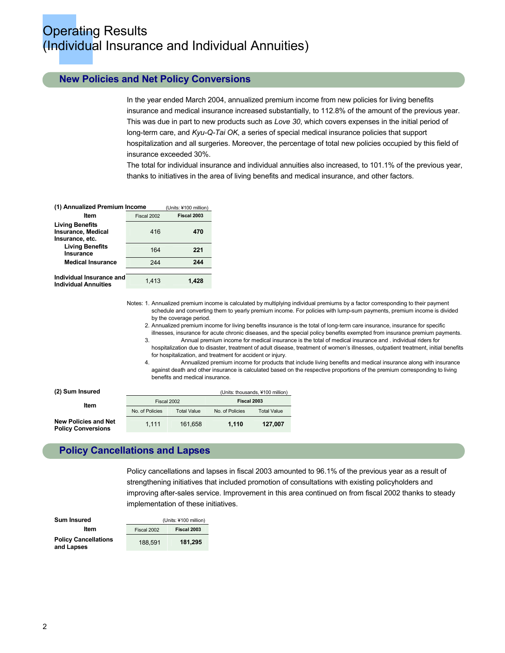### **Operating Results** (Individual Insurance and Individual Annuities)

#### **New Policies and Net Policy Conversions**

In the year ended March 2004, annualized premium income from new policies for living benefits insurance and medical insurance increased substantially, to 112.8% of the amount of the previous year. This was due in part to new products such as *Love 30*, which covers expenses in the initial period of long-term care, and *Kyu-Q-Tai OK*, a series of special medical insurance policies that support hospitalization and all surgeries. Moreover, the percentage of total new policies occupied by this field of insurance exceeded 30%.

The total for individual insurance and individual annuities also increased, to 101.1% of the previous year, thanks to initiatives in the area of living benefits and medical insurance, and other factors.

| (1) Annualized Premium Income                                   |             | (Units: ¥100 million) |
|-----------------------------------------------------------------|-------------|-----------------------|
| ltem                                                            | Fiscal 2002 | Fiscal 2003           |
| <b>Living Benefits</b><br>Insurance, Medical<br>Insurance, etc. | 416         | 470                   |
| <b>Living Benefits</b><br>Insurance                             | 164         | 221                   |
| <b>Medical Insurance</b>                                        | 244         | 244                   |
| Individual Insurance and<br><b>Individual Annuities</b>         | 1.413       | 1.428                 |

Notes: 1. Annualized premium income is calculated by multiplying individual premiums by a factor corresponding to their payment schedule and converting them to yearly premium income. For policies with lump-sum payments, premium income is divided by the coverage period.

 2. Annualized premium income for living benefits insurance is the total of long-term care insurance, insurance for specific illnesses, insurance for acute chronic diseases, and the special policy benefits exempted from insurance premium payments.

- 3. Annual premium income for medical insurance is the total of medical insurance and . individual riders for hospitalization due to disaster, treatment of adult disease, treatment of women's illnesses, outpatient treatment, initial benefits
- for hospitalization, and treatment for accident or injury. 4. Annualized premium income for products that include living benefits and medical insurance along with insurance
- against death and other insurance is calculated based on the respective proportions of the premium corresponding to living benefits and medical insurance.

| (2) Sum Insured                                          |                 |                    |                 | (Units: thousands, ¥100 million) |
|----------------------------------------------------------|-----------------|--------------------|-----------------|----------------------------------|
| ltem                                                     | Fiscal 2002     | Fiscal 2003        |                 |                                  |
|                                                          | No. of Policies | <b>Total Value</b> | No. of Policies | <b>Total Value</b>               |
| <b>New Policies and Net</b><br><b>Policy Conversions</b> | 1.111           | 161.658            | 1.110           | 127.007                          |

#### **Policy Cancellations and Lapses**

Policy cancellations and lapses in fiscal 2003 amounted to 96.1% of the previous year as a result of strengthening initiatives that included promotion of consultations with existing policyholders and improving after-sales service. Improvement in this area continued on from fiscal 2002 thanks to steady implementation of these initiatives.

| <b>Sum Insured</b>                        | (Units: ¥100 million) |             |  |
|-------------------------------------------|-----------------------|-------------|--|
| Item                                      | Fiscal 2002           | Fiscal 2003 |  |
| <b>Policy Cancellations</b><br>and Lapses | 188.591               | 181.295     |  |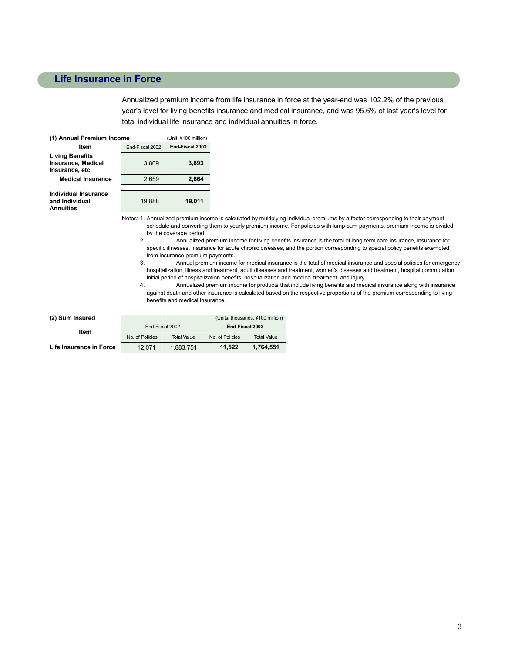#### **Life Insurance in Force**

Annualized premium income from life insurance in force at the year-end was 102.2% of the previous year's level for living benefits insurance and medical insurance, and was 95.6% of last year's level for total individual life insurance and individual annuities in force.

| (1) Annual Premium Income                                              | (Unit: ¥100 million)               |        |  |  |
|------------------------------------------------------------------------|------------------------------------|--------|--|--|
| Item                                                                   | End-Fiscal 2003<br>End-Fiscal 2002 |        |  |  |
| <b>Living Benefits</b><br><b>Insurance, Medical</b><br>Insurance, etc. | 3.809                              | 3,893  |  |  |
| <b>Medical Insurance</b>                                               | 2,659                              | 2,664  |  |  |
| Individual Insurance                                                   |                                    |        |  |  |
| and Individual<br>Annuities                                            | 19.888                             | 19.011 |  |  |

Notes: 1. Annualized premium income is calculated by multiplying individual premiums by a factor corresponding to their payment schedule and converting them to yearly premium income. For policies with lump-sum payments, premium income is divided by the coverage period.

 2. Annualized premium income for living benefits insurance is the total of long-term care insurance, insurance for specific illnesses, insurance for acute chronic diseases, and the portion corresponding to special policy benefits exempted from insurance premium payments.

 3. Annual premium income for medical insurance is the total of medical insurance and special policies for emergency hospitalization, illness and treatment, adult diseases and treatment, women's diseases and treatment, hospital commutation, initial period of hospitalization benefits, hospitalization and medical treatment, and injury.

 4. Annualized premium income for products that include living benefits and medical insurance along with insurance against death and other insurance is calculated based on the respective proportions of the premium corresponding to living benefits and medical insurance.

| (2) Sum Insured         |                 |                    |                 | (Units: thousands, ¥100 million) |
|-------------------------|-----------------|--------------------|-----------------|----------------------------------|
|                         | End-Fiscal 2002 |                    | End Fiscal 2003 |                                  |
| Item                    | No. of Policies | <b>Total Value</b> | No. of Policies | <b>Total Value</b>               |
| Life Insurance in Force | 12.071          | 1.883.751          | 11.522          | 1.764.551                        |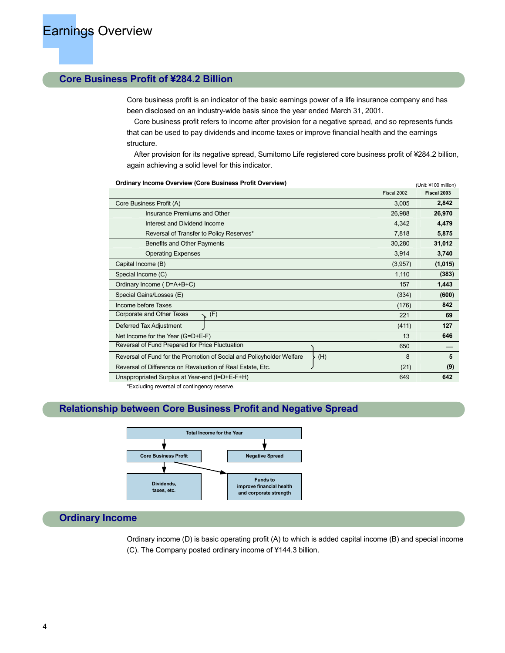#### **Core Business Profit of ¥284.2 Billion**

Core business profit is an indicator of the basic earnings power of a life insurance company and has been disclosed on an industry-wide basis since the year ended March 31, 2001.

 Core business profit refers to income after provision for a negative spread, and so represents funds that can be used to pay dividends and income taxes or improve financial health and the earnings structure.

 After provision for its negative spread, Sumitomo Life registered core business profit of ¥284.2 billion, again achieving a solid level for this indicator.

|                                                                              | Fiscal 2002 | Fiscal 2003 |
|------------------------------------------------------------------------------|-------------|-------------|
| Core Business Profit (A)                                                     | 3,005       | 2,842       |
| Insurance Premiums and Other                                                 | 26,988      | 26,970      |
| Interest and Dividend Income                                                 | 4,342       | 4,479       |
| Reversal of Transfer to Policy Reserves*                                     | 7,818       | 5,875       |
| Benefits and Other Payments                                                  | 30,280      | 31,012      |
| <b>Operating Expenses</b>                                                    | 3,914       | 3,740       |
| Capital Income (B)                                                           | (3,957)     | (1,015)     |
| Special Income (C)                                                           | 1,110       | (383)       |
| Ordinary Income (D=A+B+C)                                                    | 157         | 1,443       |
| Special Gains/Losses (E)                                                     | (334)       | (600)       |
| Income before Taxes                                                          | (176)       | 842         |
| Corporate and Other Taxes<br>(F)                                             | 221         | 69          |
| Deferred Tax Adjustment                                                      | (411)       | 127         |
| Net Income for the Year (G=D+E-F)                                            | 13          | 646         |
| Reversal of Fund Prepared for Price Fluctuation                              | 650         |             |
| Reversal of Fund for the Promotion of Social and Policyholder Welfare<br>(H) | 8           | 5           |
| Reversal of Difference on Revaluation of Real Estate, Etc.                   | (21)        | (9)         |
| Unappropriated Surplus at Year-end (I=D+E-F+H)                               | 649         | 642         |

**Ordinary Income Overview (Core Business Profit Overview) Constant Constant Constant Constant Constant Constant** 

\*Excluding reversal of contingency reserve.

#### **Relationship between Core Business Profit and Negative Spread**



#### **Ordinary Income**

Ordinary income (D) is basic operating profit (A) to which is added capital income (B) and special income (C). The Company posted ordinary income of ¥144.3 billion.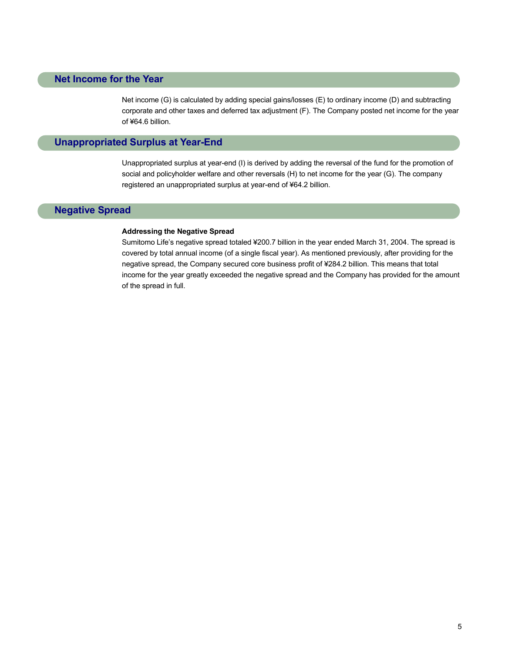#### **Net Income for the Year**

Net income (G) is calculated by adding special gains/losses (E) to ordinary income (D) and subtracting corporate and other taxes and deferred tax adjustment (F). The Company posted net income for the year of ¥64.6 billion.

#### **Unappropriated Surplus at Year-End**

Unappropriated surplus at year-end (I) is derived by adding the reversal of the fund for the promotion of social and policyholder welfare and other reversals (H) to net income for the year (G). The company registered an unappropriated surplus at year-end of ¥64.2 billion.

#### **Negative Spread**

#### **Addressing the Negative Spread**

Sumitomo Life's negative spread totaled ¥200.7 billion in the year ended March 31, 2004. The spread is covered by total annual income (of a single fiscal year). As mentioned previously, after providing for the negative spread, the Company secured core business profit of ¥284.2 billion. This means that total income for the year greatly exceeded the negative spread and the Company has provided for the amount of the spread in full.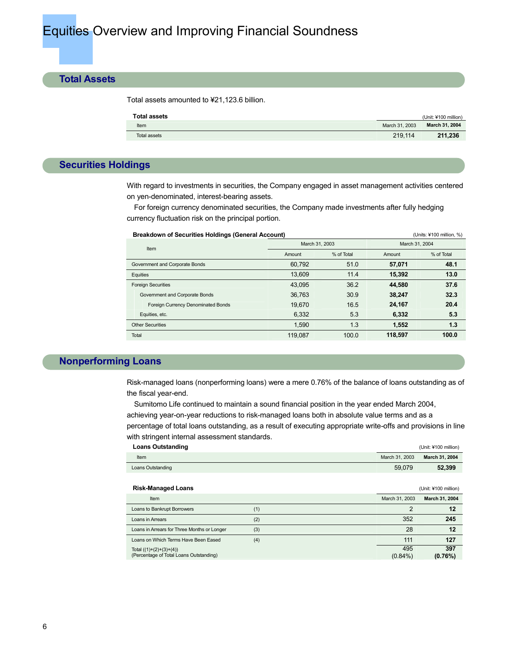#### **Total Assets**

Total assets amounted to ¥21,123.6 billion.

| <b>Total assets</b> |                | (Unit: ¥100 million) |
|---------------------|----------------|----------------------|
| Item                | March 31, 2003 | March 31, 2004       |
| Total assets        | 219.114        | 211.236              |

#### **Securities Holdings**

With regard to investments in securities, the Company engaged in asset management activities centered on yen-denominated, interest-bearing assets.

 For foreign currency denominated securities, the Company made investments after fully hedging currency fluctuation risk on the principal portion.

| <b>Breakdown of Securities Holdings (General Account)</b> |                |            |                | (Units: ¥100 million, %) |
|-----------------------------------------------------------|----------------|------------|----------------|--------------------------|
| Item                                                      | March 31, 2003 |            | March 31, 2004 |                          |
|                                                           | Amount         | % of Total | Amount         | % of Total               |
| Government and Corporate Bonds                            | 60,792         | 51.0       | 57,071         | 48.1                     |
| Equities                                                  | 13.609         | 11.4       | 15,392         | 13.0                     |
| <b>Foreign Securities</b>                                 | 43.095         | 36.2       | 44.580         | 37.6                     |
| Government and Corporate Bonds                            | 36.763         | 30.9       | 38,247         | 32.3                     |
| Foreign Currency Denominated Bonds                        | 19.670         | 16.5       | 24,167         | 20.4                     |
| Equities, etc.                                            | 6,332          | 5.3        | 6,332          | 5.3                      |
| <b>Other Securities</b>                                   | 1,590          | 1.3        | 1,552          | 1.3                      |
| Total                                                     | 119.087        | 100.0      | 118.597        | 100.0                    |

#### **Nonperforming Loans**

Risk-managed loans (nonperforming loans) were a mere 0.76% of the balance of loans outstanding as of the fiscal year-end.

 Sumitomo Life continued to maintain a sound financial position in the year ended March 2004, achieving year-on-year reductions to risk-managed loans both in absolute value terms and as a percentage of total loans outstanding, as a result of executing appropriate write-offs and provisions in line with stringent internal assessment standards.

| <b>Loans Outstanding</b>                                             |     |                   | (Unit: ¥100 million) |
|----------------------------------------------------------------------|-----|-------------------|----------------------|
| Item                                                                 |     | March 31, 2003    | March 31, 2004       |
| Loans Outstanding                                                    |     | 59,079            | 52,399               |
|                                                                      |     |                   |                      |
| <b>Risk-Managed Loans</b>                                            |     |                   | (Unit: ¥100 million) |
| Item                                                                 |     | March 31, 2003    | March 31, 2004       |
| Loans to Bankrupt Borrowers                                          | (1) | 2                 | 12                   |
| Loans in Arrears                                                     | (2) | 352               | 245                  |
| Loans in Arrears for Three Months or Longer                          | (3) | 28                | 12                   |
| Loans on Which Terms Have Been Eased                                 | (4) | 111               | 127                  |
| Total $((1)+(2)+(3)+(4))$<br>(Percentage of Total Loans Outstanding) |     | 495<br>$(0.84\%)$ | 397<br>(0.76%)       |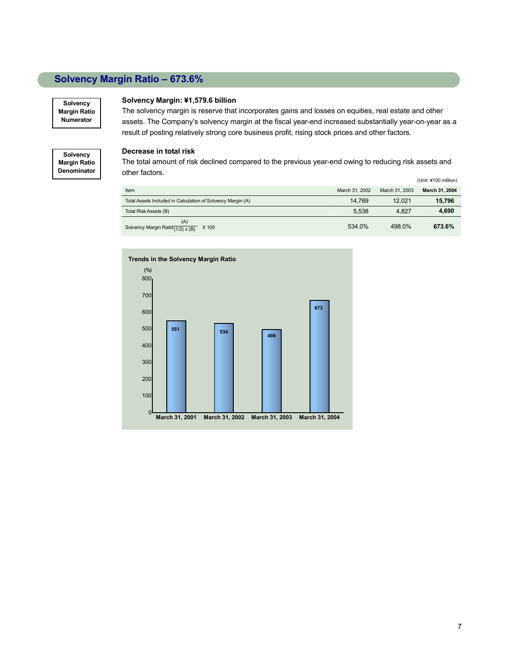### **Solvency Margin Ratio – 673.6%**

**Solvency Margin Ratio Numerator** 

**Solvency Margin Ratio Denominator**

#### **Solvency Margin: ¥1,579.6 billion**

The solvency margin is reserve that incorporates gains and losses on equities, real estate and other assets. The Company's solvency margin at the fiscal year-end increased substantially year-on-year as a result of posting relatively strong core business profit, rising stock prices and other factors.

#### **Decrease in total risk**

The total amount of risk declined compared to the previous year-end owing to reducing risk assets and other factors.

|                                                             |                |                | (Unit: ¥100 million) |
|-------------------------------------------------------------|----------------|----------------|----------------------|
| Item                                                        | March 31, 2002 | March 31, 2003 | March 31, 2004       |
| Total Assets Included in Calculation of Solvency Margin (A) | 14.789         | 12.021         | 15,796               |
| Total Risk Assets (B)                                       | 5.538          | 4.827          | 4,690                |
| (A)<br>Solvency Margin Ratio $\frac{1}{2}$ x (B) X 100      | 534.0%         | 498.0%         | 673.6%               |

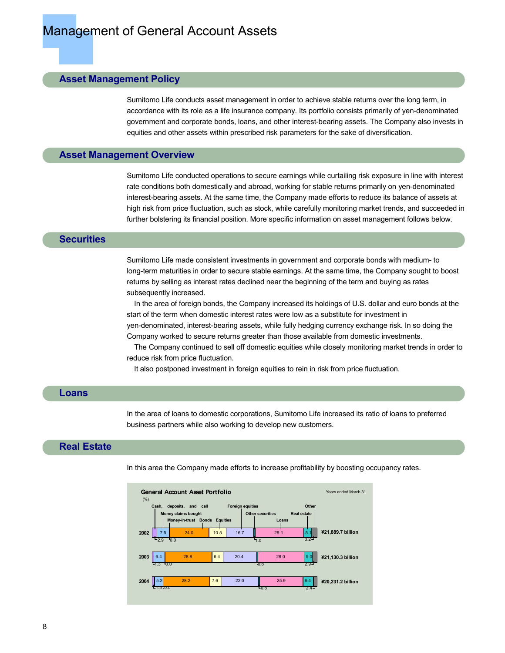#### **Asset Management Policy**

Sumitomo Life conducts asset management in order to achieve stable returns over the long term, in accordance with its role as a life insurance company. Its portfolio consists primarily of yen-denominated government and corporate bonds, loans, and other interest-bearing assets. The Company also invests in equities and other assets within prescribed risk parameters for the sake of diversification.

#### **Asset Management Overview**

Sumitomo Life conducted operations to secure earnings while curtailing risk exposure in line with interest rate conditions both domestically and abroad, working for stable returns primarily on yen-denominated interest-bearing assets. At the same time, the Company made efforts to reduce its balance of assets at high risk from price fluctuation, such as stock, while carefully monitoring market trends, and succeeded in further bolstering its financial position. More specific information on asset management follows below.

#### **Securities**

Sumitomo Life made consistent investments in government and corporate bonds with medium- to long-term maturities in order to secure stable earnings. At the same time, the Company sought to boost returns by selling as interest rates declined near the beginning of the term and buying as rates subsequently increased.

In the area of foreign bonds, the Company increased its holdings of U.S. dollar and euro bonds at the start of the term when domestic interest rates were low as a substitute for investment in yen-denominated, interest-bearing assets, while fully hedging currency exchange risk. In so doing the Company worked to secure returns greater than those available from domestic investments.

 The Company continued to sell off domestic equities while closely monitoring market trends in order to reduce risk from price fluctuation.

It also postponed investment in foreign equities to rein in risk from price fluctuation.

#### **Loans**

In the area of loans to domestic corporations, Sumitomo Life increased its ratio of loans to preferred business partners while also working to develop new customers.

#### **Real Estate**

In this area the Company made efforts to increase profitability by boosting occupancy rates.

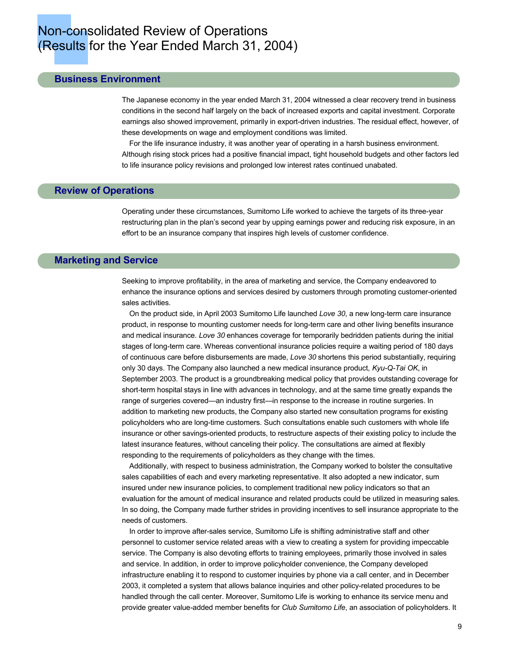#### **Business Environment**

The Japanese economy in the year ended March 31, 2004 witnessed a clear recovery trend in business conditions in the second half largely on the back of increased exports and capital investment. Corporate earnings also showed improvement, primarily in export-driven industries. The residual effect, however, of these developments on wage and employment conditions was limited.

 For the life insurance industry, it was another year of operating in a harsh business environment. Although rising stock prices had a positive financial impact, tight household budgets and other factors led to life insurance policy revisions and prolonged low interest rates continued unabated.

#### **Review of Operations**

Operating under these circumstances, Sumitomo Life worked to achieve the targets of its three-year restructuring plan in the plan's second year by upping earnings power and reducing risk exposure, in an effort to be an insurance company that inspires high levels of customer confidence.

#### **Marketing and Service**

Seeking to improve profitability, in the area of marketing and service, the Company endeavored to enhance the insurance options and services desired by customers through promoting customer-oriented sales activities.

 On the product side, in April 2003 Sumitomo Life launched *Love 30*, a new long-term care insurance product, in response to mounting customer needs for long-term care and other living benefits insurance and medical insurance. *Love 30* enhances coverage for temporarily bedridden patients during the initial stages of long-term care. Whereas conventional insurance policies require a waiting period of 180 days of continuous care before disbursements are made, *Love 30* shortens this period substantially, requiring only 30 days. The Company also launched a new medical insurance product, *Kyu-Q-Tai OK*, in September 2003. The product is a groundbreaking medical policy that provides outstanding coverage for short-term hospital stays in line with advances in technology, and at the same time greatly expands the range of surgeries covered—an industry first—in response to the increase in routine surgeries. In addition to marketing new products, the Company also started new consultation programs for existing policyholders who are long-time customers. Such consultations enable such customers with whole life insurance or other savings-oriented products, to restructure aspects of their existing policy to include the latest insurance features, without canceling their policy. The consultations are aimed at flexibly responding to the requirements of policyholders as they change with the times.

 Additionally, with respect to business administration, the Company worked to bolster the consultative sales capabilities of each and every marketing representative. It also adopted a new indicator, sum insured under new insurance policies, to complement traditional new policy indicators so that an evaluation for the amount of medical insurance and related products could be utilized in measuring sales. In so doing, the Company made further strides in providing incentives to sell insurance appropriate to the needs of customers.

 In order to improve after-sales service, Sumitomo Life is shifting administrative staff and other personnel to customer service related areas with a view to creating a system for providing impeccable service. The Company is also devoting efforts to training employees, primarily those involved in sales and service. In addition, in order to improve policyholder convenience, the Company developed infrastructure enabling it to respond to customer inquiries by phone via a call center, and in December 2003, it completed a system that allows balance inquiries and other policy-related procedures to be handled through the call center. Moreover, Sumitomo Life is working to enhance its service menu and provide greater value-added member benefits for *Club Sumitomo Life*, an association of policyholders. It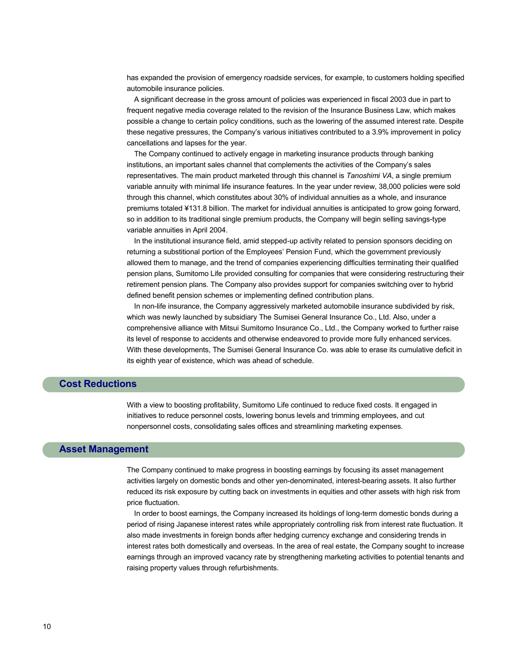has expanded the provision of emergency roadside services, for example, to customers holding specified automobile insurance policies.

 A significant decrease in the gross amount of policies was experienced in fiscal 2003 due in part to frequent negative media coverage related to the revision of the Insurance Business Law, which makes possible a change to certain policy conditions, such as the lowering of the assumed interest rate. Despite these negative pressures, the Company's various initiatives contributed to a 3.9% improvement in policy cancellations and lapses for the year.

 The Company continued to actively engage in marketing insurance products through banking institutions, an important sales channel that complements the activities of the Company's sales representatives. The main product marketed through this channel is *Tanoshimi VA*, a single premium variable annuity with minimal life insurance features. In the year under review, 38,000 policies were sold through this channel, which constitutes about 30% of individual annuities as a whole, and insurance premiums totaled ¥131.8 billion. The market for individual annuities is anticipated to grow going forward, so in addition to its traditional single premium products, the Company will begin selling savings-type variable annuities in April 2004.

 In the institutional insurance field, amid stepped-up activity related to pension sponsors deciding on returning a substitional portion of the Employees' Pension Fund, which the government previously allowed them to manage, and the trend of companies experiencing difficulties terminating their qualified pension plans, Sumitomo Life provided consulting for companies that were considering restructuring their retirement pension plans. The Company also provides support for companies switching over to hybrid defined benefit pension schemes or implementing defined contribution plans.

 In non-life insurance, the Company aggressively marketed automobile insurance subdivided by risk, which was newly launched by subsidiary The Sumisei General Insurance Co., Ltd. Also, under a comprehensive alliance with Mitsui Sumitomo Insurance Co., Ltd., the Company worked to further raise its level of response to accidents and otherwise endeavored to provide more fully enhanced services. With these developments, The Sumisei General Insurance Co. was able to erase its cumulative deficit in its eighth year of existence, which was ahead of schedule.

#### **Cost Reductions**

With a view to boosting profitability, Sumitomo Life continued to reduce fixed costs. It engaged in initiatives to reduce personnel costs, lowering bonus levels and trimming employees, and cut nonpersonnel costs, consolidating sales offices and streamlining marketing expenses.

#### **Asset Management**

The Company continued to make progress in boosting earnings by focusing its asset management activities largely on domestic bonds and other yen-denominated, interest-bearing assets. It also further reduced its risk exposure by cutting back on investments in equities and other assets with high risk from price fluctuation.

 In order to boost earnings, the Company increased its holdings of long-term domestic bonds during a period of rising Japanese interest rates while appropriately controlling risk from interest rate fluctuation. It also made investments in foreign bonds after hedging currency exchange and considering trends in interest rates both domestically and overseas. In the area of real estate, the Company sought to increase earnings through an improved vacancy rate by strengthening marketing activities to potential tenants and raising property values through refurbishments.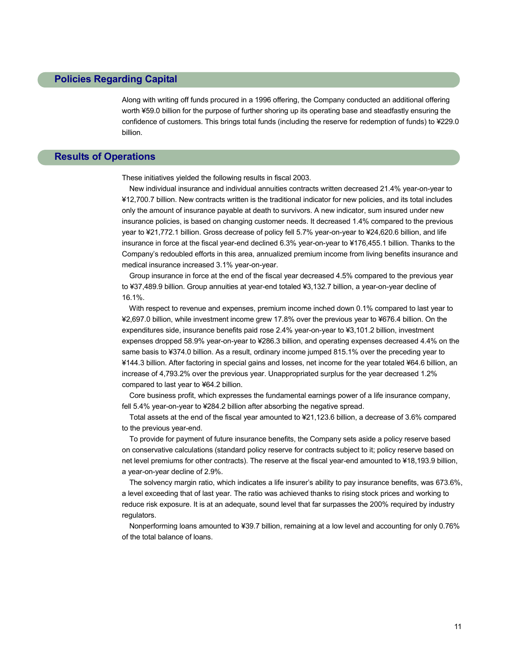#### **Policies Regarding Capital**

Along with writing off funds procured in a 1996 offering, the Company conducted an additional offering worth ¥59.0 billion for the purpose of further shoring up its operating base and steadfastly ensuring the confidence of customers. This brings total funds (including the reserve for redemption of funds) to ¥229.0 billion.

#### **Results of Operations**

These initiatives yielded the following results in fiscal 2003.

 New individual insurance and individual annuities contracts written decreased 21.4% year-on-year to ¥12,700.7 billion. New contracts written is the traditional indicator for new policies, and its total includes only the amount of insurance payable at death to survivors. A new indicator, sum insured under new insurance policies, is based on changing customer needs. It decreased 1.4% compared to the previous year to ¥21,772.1 billion. Gross decrease of policy fell 5.7% year-on-year to ¥24,620.6 billion, and life insurance in force at the fiscal year-end declined 6.3% year-on-year to ¥176,455.1 billion. Thanks to the Company's redoubled efforts in this area, annualized premium income from living benefits insurance and medical insurance increased 3.1% year-on-year.

 Group insurance in force at the end of the fiscal year decreased 4.5% compared to the previous year to ¥37,489.9 billion. Group annuities at year-end totaled ¥3,132.7 billion, a year-on-year decline of 16.1%.

 With respect to revenue and expenses, premium income inched down 0.1% compared to last year to ¥2,697.0 billion, while investment income grew 17.8% over the previous year to ¥676.4 billion. On the expenditures side, insurance benefits paid rose 2.4% year-on-year to ¥3,101.2 billion, investment expenses dropped 58.9% year-on-year to ¥286.3 billion, and operating expenses decreased 4.4% on the same basis to ¥374.0 billion. As a result, ordinary income jumped 815.1% over the preceding year to ¥144.3 billion. After factoring in special gains and losses, net income for the year totaled ¥64.6 billion, an increase of 4,793.2% over the previous year. Unappropriated surplus for the year decreased 1.2% compared to last year to ¥64.2 billion.

 Core business profit, which expresses the fundamental earnings power of a life insurance company, fell 5.4% year-on-year to ¥284.2 billion after absorbing the negative spread.

 Total assets at the end of the fiscal year amounted to ¥21,123.6 billion, a decrease of 3.6% compared to the previous year-end.

 To provide for payment of future insurance benefits, the Company sets aside a policy reserve based on conservative calculations (standard policy reserve for contracts subject to it; policy reserve based on net level premiums for other contracts). The reserve at the fiscal year-end amounted to ¥18,193.9 billion, a year-on-year decline of 2.9%.

 The solvency margin ratio, which indicates a life insurer's ability to pay insurance benefits, was 673.6%, a level exceeding that of last year. The ratio was achieved thanks to rising stock prices and working to reduce risk exposure. It is at an adequate, sound level that far surpasses the 200% required by industry regulators.

 Nonperforming loans amounted to ¥39.7 billion, remaining at a low level and accounting for only 0.76% of the total balance of loans.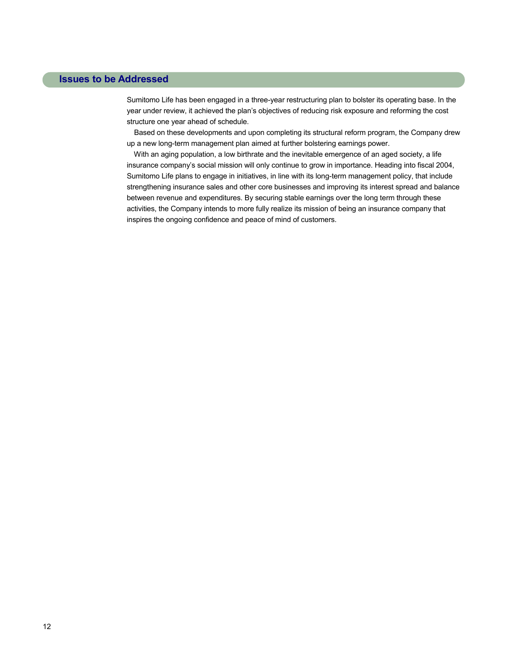#### **Issues to be Addressed**

Sumitomo Life has been engaged in a three-year restructuring plan to bolster its operating base. In the year under review, it achieved the plan's objectives of reducing risk exposure and reforming the cost structure one year ahead of schedule.

 Based on these developments and upon completing its structural reform program, the Company drew up a new long-term management plan aimed at further bolstering earnings power.

 With an aging population, a low birthrate and the inevitable emergence of an aged society, a life insurance company's social mission will only continue to grow in importance. Heading into fiscal 2004, Sumitomo Life plans to engage in initiatives, in line with its long-term management policy, that include strengthening insurance sales and other core businesses and improving its interest spread and balance between revenue and expenditures. By securing stable earnings over the long term through these activities, the Company intends to more fully realize its mission of being an insurance company that inspires the ongoing confidence and peace of mind of customers.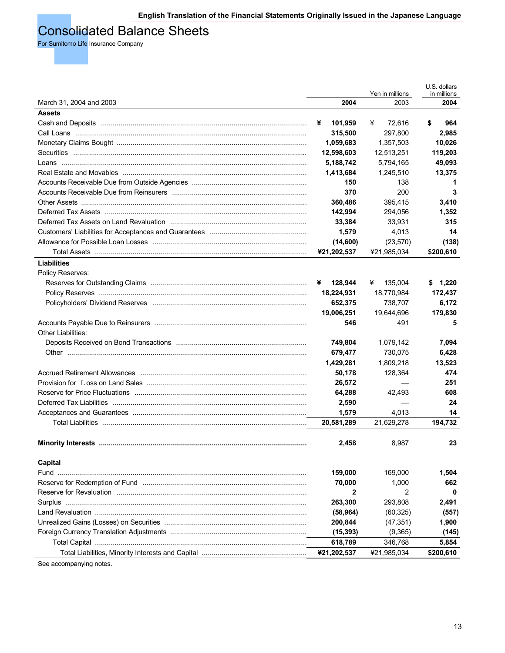### Consolidated Balance Sheets

For Sumitomo Life Insurance Company

|                                                       |              | Yen in millions | U.S. dollars<br>in millions |
|-------------------------------------------------------|--------------|-----------------|-----------------------------|
| March 31, 2004 and 2003                               | 2004         | 2003            | 2004                        |
| <b>Assets</b>                                         |              |                 |                             |
|                                                       | 101,959<br>¥ | ¥<br>72,616     | \$<br>964                   |
|                                                       | 315,500      | 297,800         | 2,985                       |
|                                                       | 1,059,683    | 1,357,503       | 10,026                      |
|                                                       | 12,598,603   | 12,513,251      | 119,203                     |
|                                                       | 5,188,742    | 5,794,165       | 49,093                      |
|                                                       | 1,413,684    | 1,245,510       | 13,375                      |
|                                                       | 150          | 138             | 1                           |
|                                                       | 370          | 200             | 3                           |
|                                                       | 360,486      | 395,415         | 3,410                       |
|                                                       | 142,994      | 294,056         | 1,352                       |
|                                                       | 33,384       | 33,931          | 315                         |
|                                                       | 1,579        | 4,013           | 14                          |
|                                                       | (14,600)     | (23, 570)       | (138)                       |
|                                                       | ¥21,202,537  | ¥21,985,034     | \$200,610                   |
| <b>Liabilities</b>                                    |              |                 |                             |
| Policy Reserves:                                      |              |                 |                             |
|                                                       | 128,944<br>¥ | ¥<br>135,004    | 1,220<br>S.                 |
|                                                       | 18,224,931   | 18,770,984      | 172,437                     |
|                                                       | 652,375      | 738,707         | 6,172                       |
|                                                       | 19,006,251   | 19,644,696      | 179,830                     |
|                                                       | 546          | 491             | 5                           |
| Other Liabilities:                                    |              |                 |                             |
|                                                       | 749,804      | 1,079,142       | 7,094                       |
|                                                       | 679,477      | 730,075         | 6,428                       |
|                                                       | 1,429,281    | 1,809,218       | 13,523                      |
|                                                       | 50,178       | 128,364         | 474                         |
|                                                       | 26,572       |                 | 251                         |
|                                                       | 64,288       | 42,493          | 608                         |
|                                                       | 2,590        |                 | 24                          |
|                                                       | 1,579        | 4,013           | 14                          |
| Total Liabilities …………………………………………………………………………………………… | 20,581,289   | 21,629,278      | 194,732                     |
|                                                       |              |                 |                             |
|                                                       | 2.458        | 8,987           | 23                          |
|                                                       |              |                 |                             |
| Capital                                               |              |                 |                             |
|                                                       | 159,000      | 169,000         | 1,504                       |
|                                                       | 70,000       | 1,000           | 662                         |
|                                                       | 2            | 2               | 0                           |
|                                                       | 263,300      | 293,808         | 2,491                       |
|                                                       | (58, 964)    | (60, 325)       | (557)                       |
|                                                       | 200,844      | (47, 351)       | 1,900                       |
|                                                       | (15, 393)    | (9,365)         | (145)                       |
|                                                       | 618,789      | 346,768         | 5,854                       |
|                                                       | ¥21,202,537  | ¥21,985,034     | \$200,610                   |

See accompanying notes.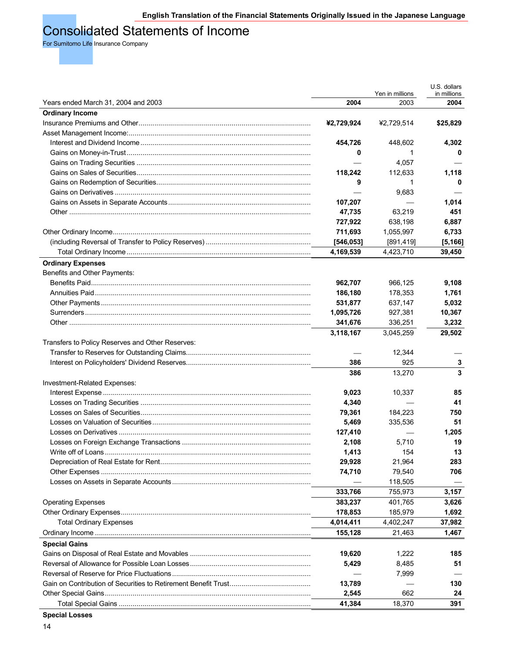### Consolidated Statements of Income

For Sumitomo Life Insurance Company

|                                                  |            |                         | U.S. dollars        |
|--------------------------------------------------|------------|-------------------------|---------------------|
| Years ended March 31, 2004 and 2003              | 2004       | Yen in millions<br>2003 | in millions<br>2004 |
| <b>Ordinary Income</b>                           |            |                         |                     |
|                                                  | ¥2,729,924 | ¥2,729,514              | \$25,829            |
|                                                  |            |                         |                     |
|                                                  | 454,726    | 448,602                 | 4,302               |
|                                                  | 0          | 1                       | 0                   |
|                                                  |            | 4,057                   |                     |
|                                                  | 118,242    | 112,633                 | 1,118               |
|                                                  | 9          | 1                       | 0                   |
|                                                  |            | 9,683                   |                     |
|                                                  | 107,207    |                         | 1,014               |
|                                                  |            | 63,219                  | 451                 |
|                                                  | 47,735     |                         |                     |
|                                                  | 727,922    | 638,198                 | 6,887               |
|                                                  | 711,693    | 1,055,997               | 6,733               |
|                                                  | [546, 053] | [891, 419]              | [5, 166]            |
|                                                  | 4,169,539  | 4,423,710               | 39,450              |
| <b>Ordinary Expenses</b>                         |            |                         |                     |
| Benefits and Other Payments:                     |            |                         |                     |
|                                                  | 962,707    | 966,125                 | 9,108               |
|                                                  | 186,180    | 178,353                 | 1,761               |
|                                                  | 531,877    | 637,147                 | 5,032               |
|                                                  | 1,095,726  | 927,381                 | 10,367              |
|                                                  | 341,676    | 336,251                 | 3,232               |
|                                                  | 3,118,167  | 3,045,259               | 29,502              |
| Transfers to Policy Reserves and Other Reserves: |            |                         |                     |
|                                                  |            | 12,344                  |                     |
|                                                  | 386        | 925                     | 3                   |
|                                                  | 386        | 13,270                  | 3                   |
| Investment-Related Expenses:                     |            |                         |                     |
|                                                  | 9,023      | 10,337                  | 85                  |
|                                                  | 4,340      |                         | 41                  |
|                                                  | 79,361     | 184,223                 | 750                 |
|                                                  | 5,469      | 335,536                 | 51                  |
|                                                  | 127,410    |                         | 1,205               |
|                                                  | 2,108      | 5,710                   | 19                  |
|                                                  | 1,413      | 154                     | 13                  |
|                                                  | 29,928     | 21,964                  | 283                 |
|                                                  | 74,710     | 79,540                  | 706                 |
|                                                  |            | 118,505                 |                     |
|                                                  | 333,766    | 755,973                 | 3,157               |
| <b>Operating Expenses</b>                        | 383,237    | 401,765                 | 3,626               |
|                                                  | 178,853    | 185,979                 | 1,692               |
| <b>Total Ordinary Expenses</b>                   | 4,014,411  | 4,402,247               | 37,982              |
|                                                  | 155,128    | 21,463                  | 1,467               |
| <b>Special Gains</b>                             |            |                         |                     |
|                                                  | 19,620     | 1,222                   | 185                 |
|                                                  | 5,429      | 8,485                   | 51                  |
|                                                  |            | 7,999                   |                     |
|                                                  | 13,789     |                         | 130                 |
|                                                  |            | 662                     |                     |
|                                                  | 2,545      |                         | 24                  |
|                                                  | 41,384     | 18,370                  | 391                 |

**Special Losses**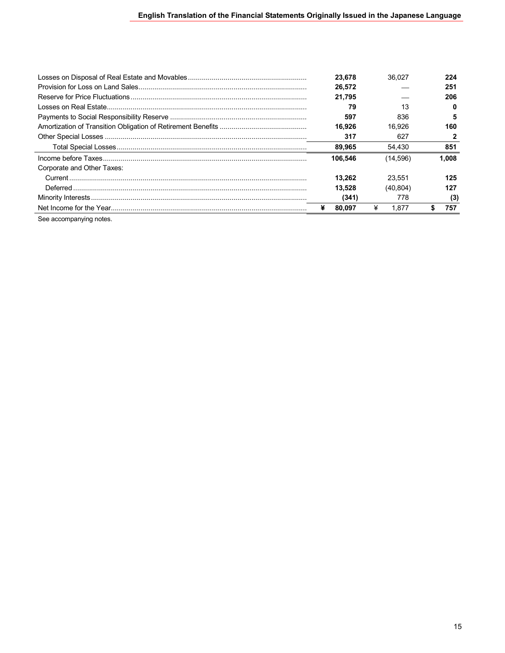|                            | 23.678  | 36.027     | 224   |
|----------------------------|---------|------------|-------|
|                            | 26.572  |            | 251   |
|                            | 21.795  |            | 206   |
|                            | 79      | 13         | 0     |
|                            | 597     | 836        | 5     |
|                            | 16.926  | 16.926     | 160   |
|                            | 317     | 627        |       |
|                            | 89,965  | 54.430     | 851   |
|                            | 106.546 | (14,596)   | 1.008 |
| Corporate and Other Taxes: |         |            |       |
|                            | 13.262  | 23.551     | 125   |
|                            | 13.528  | (40, 804)  | 127   |
|                            | (341)   | 778        | (3)   |
|                            | 80.097  | ¥<br>1.877 | 757   |

See accompanying notes.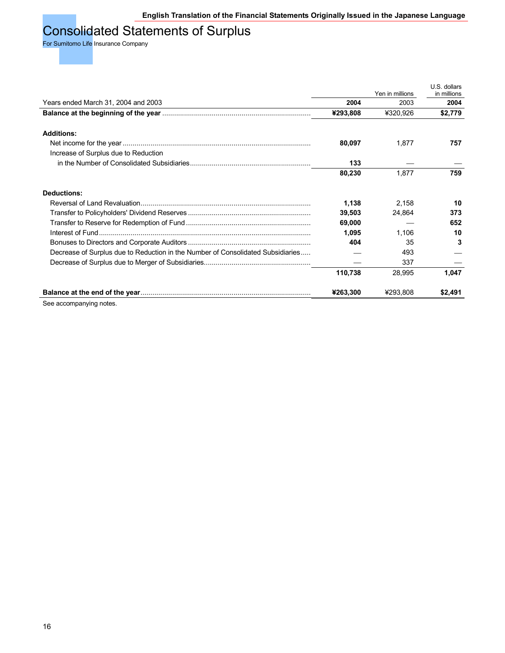## Consolidated Statements of Surplus

For Sumitomo Life Insurance Company

|                                                                                 |          | Yen in millions | U.S. dollars<br>in millions |
|---------------------------------------------------------------------------------|----------|-----------------|-----------------------------|
| Years ended March 31, 2004 and 2003                                             | 2004     | 2003            | 2004                        |
|                                                                                 | ¥293,808 | ¥320,926        | \$2,779                     |
|                                                                                 |          |                 |                             |
| <b>Additions:</b>                                                               |          |                 |                             |
|                                                                                 | 80,097   | 1,877           | 757                         |
| Increase of Surplus due to Reduction                                            |          |                 |                             |
|                                                                                 | 133      |                 |                             |
|                                                                                 | 80,230   | 1,877           | 759                         |
| <b>Deductions:</b>                                                              |          |                 |                             |
|                                                                                 | 1,138    | 2,158           | 10                          |
|                                                                                 | 39,503   | 24,864          | 373                         |
|                                                                                 | 69,000   |                 | 652                         |
|                                                                                 | 1,095    | 1,106           | 10                          |
|                                                                                 | 404      | 35              | 3                           |
| Decrease of Surplus due to Reduction in the Number of Consolidated Subsidiaries |          | 493             |                             |
|                                                                                 |          | 337             |                             |
|                                                                                 | 110,738  | 28,995          | 1,047                       |
|                                                                                 | ¥263,300 | ¥293,808        | \$2,491                     |

See accompanying notes.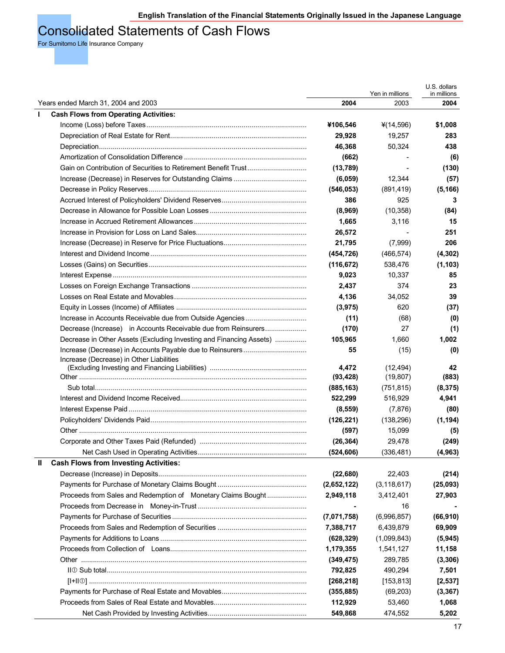### Consolidated Statements of Cash Flows

For Sumitomo Life Insurance Company

|                                                                     |             |                         | U.S. dollars        |
|---------------------------------------------------------------------|-------------|-------------------------|---------------------|
| Years ended March 31, 2004 and 2003                                 | 2004        | Yen in millions<br>2003 | in millions<br>2004 |
| <b>Cash Flows from Operating Activities:</b><br>$\mathbf{I}$        |             |                         |                     |
|                                                                     | ¥106,546    | ¥(14,596)               | \$1,008             |
|                                                                     | 29,928      | 19,257                  | 283                 |
|                                                                     | 46,368      | 50,324                  | 438                 |
|                                                                     |             |                         |                     |
|                                                                     | (662)       |                         | (6)                 |
|                                                                     | (13, 789)   |                         | (130)               |
|                                                                     | (6,059)     | 12,344                  | (57)                |
|                                                                     | (546, 053)  | (891, 419)              | (5, 166)            |
|                                                                     | 386         | 925                     | 3                   |
|                                                                     | (8,969)     | (10, 358)               | (84)                |
|                                                                     | 1,665       | 3,116                   | 15                  |
|                                                                     | 26,572      |                         | 251                 |
|                                                                     | 21,795      | (7,999)                 | 206                 |
|                                                                     | (454, 726)  | (466, 574)              | (4, 302)            |
|                                                                     | (116, 672)  | 538,476                 | (1, 103)            |
|                                                                     | 9,023       | 10,337                  | 85                  |
|                                                                     | 2,437       | 374                     | 23                  |
|                                                                     | 4,136       | 34,052                  | 39                  |
|                                                                     | (3,975)     | 620                     | (37)                |
|                                                                     | (11)        | (68)                    | (0)                 |
| Decrease (Increase) in Accounts Receivable due from Reinsurers      | (170)       | 27                      | (1)                 |
| Decrease in Other Assets (Excluding Investing and Financing Assets) | 105,965     | 1,660                   | 1,002               |
|                                                                     | 55          |                         |                     |
| Increase (Decrease) in Other Liabilities                            |             | (15)                    | (0)                 |
|                                                                     | 4,472       | (12, 494)               | 42                  |
|                                                                     | (93, 428)   | (19, 807)               | (883)               |
|                                                                     | (885, 163)  | (751, 815)              | (8, 375)            |
|                                                                     | 522,299     | 516,929                 | 4,941               |
|                                                                     | (8,559)     | (7, 876)                | (80)                |
|                                                                     | (126, 221)  | (138, 296)              | (1, 194)            |
|                                                                     | (597)       | 15,099                  | (5)                 |
|                                                                     | (26, 364)   | 29,478                  | (249)               |
|                                                                     | (524, 606)  | (336, 481)              | (4, 963)            |
| Ш<br><b>Cash Flows from Investing Activities:</b>                   |             |                         |                     |
|                                                                     |             | 22,403                  |                     |
|                                                                     | (22, 680)   |                         | (214)               |
|                                                                     | (2,652,122) | (3, 118, 617)           | (25,093)            |
| Proceeds from Sales and Redemption of Monetary Claims Bought        | 2,949,118   | 3,412,401               | 27,903              |
|                                                                     |             | 16                      |                     |
|                                                                     | (7,071,758) | (6,996,857)             | (66, 910)           |
|                                                                     | 7,388,717   | 6,439,879               | 69,909              |
|                                                                     | (628, 329)  | (1,099,843)             | (5, 945)            |
|                                                                     | 1,179,355   | 1,541,127               | 11,158              |
|                                                                     | (349, 475)  | 289,785                 | (3, 306)            |
|                                                                     | 792,825     | 490,294                 | 7,501               |
|                                                                     | [268, 218]  | [153, 813]              | [2,537]             |
|                                                                     | (355, 885)  | (69, 203)               | (3, 367)            |
|                                                                     | 112,929     | 53,460                  | 1,068               |
|                                                                     | 549,868     | 474,552                 | 5,202               |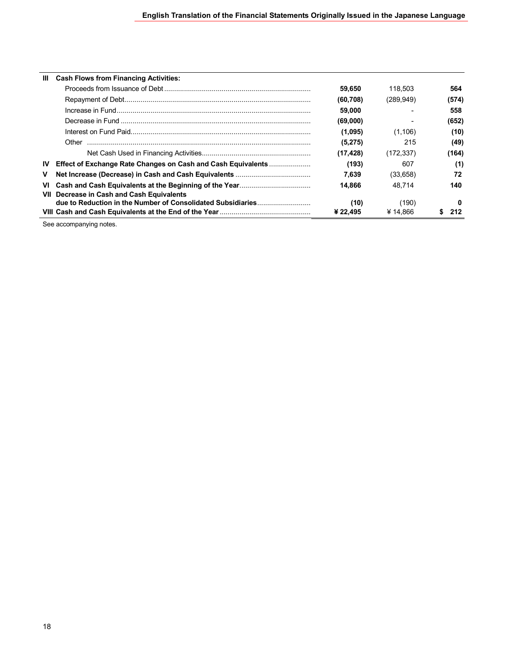| ШL        | <b>Cash Flows from Financing Activities:</b>                         |           |            |       |
|-----------|----------------------------------------------------------------------|-----------|------------|-------|
|           |                                                                      | 59,650    | 118.503    | 564   |
|           |                                                                      | (60,708)  | (289, 949) | (574) |
|           |                                                                      | 59,000    |            | 558   |
|           |                                                                      | (69,000)  |            | (652) |
|           |                                                                      | (1,095)   | (1,106)    | (10)  |
|           | Other                                                                | (5, 275)  | 215        | (49)  |
|           |                                                                      | (17, 428) | (172, 337) | (164) |
| <b>IV</b> | <b>Effect of Exchange Rate Changes on Cash and Cash Equivalents </b> | (193)     | 607        | (1)   |
| v         |                                                                      | 7.639     | (33, 658)  | 72    |
| VI        |                                                                      | 14.866    | 48.714     | 140   |
| VII       | Decrease in Cash and Cash Equivalents                                |           |            |       |
|           |                                                                      | (10)      | (190       | o     |
|           |                                                                      | ¥ 22.495  | ¥ 14.866   | 212   |

See accompanying notes.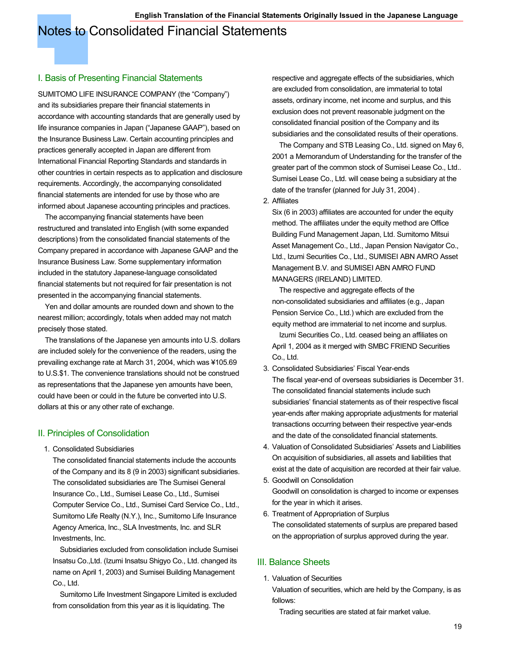### Notes to Consolidated Financial Statements

#### I. Basis of Presenting Financial Statements

SUMITOMO LIFE INSURANCE COMPANY (the "Company") and its subsidiaries prepare their financial statements in accordance with accounting standards that are generally used by life insurance companies in Japan ("Japanese GAAP"), based on the Insurance Business Law. Certain accounting principles and practices generally accepted in Japan are different from International Financial Reporting Standards and standards in other countries in certain respects as to application and disclosure requirements. Accordingly, the accompanying consolidated financial statements are intended for use by those who are informed about Japanese accounting principles and practices.

 The accompanying financial statements have been restructured and translated into English (with some expanded descriptions) from the consolidated financial statements of the Company prepared in accordance with Japanese GAAP and the Insurance Business Law. Some supplementary information included in the statutory Japanese-language consolidated financial statements but not required for fair presentation is not presented in the accompanying financial statements.

 Yen and dollar amounts are rounded down and shown to the nearest million; accordingly, totals when added may not match precisely those stated.

 The translations of the Japanese yen amounts into U.S. dollars are included solely for the convenience of the readers, using the prevailing exchange rate at March 31, 2004, which was ¥105.69 to U.S.\$1. The convenience translations should not be construed as representations that the Japanese yen amounts have been, could have been or could in the future be converted into U.S. dollars at this or any other rate of exchange.

#### II. Principles of Consolidation

1. Consolidated Subsidiaries

The consolidated financial statements include the accounts of the Company and its 8 (9 in 2003) significant subsidiaries. The consolidated subsidiaries are The Sumisei General Insurance Co., Ltd., Sumisei Lease Co., Ltd., Sumisei Computer Service Co., Ltd., Sumisei Card Service Co., Ltd., Sumitomo Life Realty (N.Y.), Inc., Sumitomo Life Insurance Agency America, Inc., SLA Investments, Inc. and SLR Investments, Inc.

 Subsidiaries excluded from consolidation include Sumisei Insatsu Co.,Ltd. (Izumi Insatsu Shigyo Co., Ltd. changed its name on April 1, 2003) and Sumisei Building Management Co., Ltd.

 Sumitomo Life Investment Singapore Limited is excluded from consolidation from this year as it is liquidating. The

respective and aggregate effects of the subsidiaries, which are excluded from consolidation, are immaterial to total assets, ordinary income, net income and surplus, and this exclusion does not prevent reasonable judgment on the consolidated financial position of the Company and its subsidiaries and the consolidated results of their operations.

 The Company and STB Leasing Co., Ltd. signed on May 6, 2001 a Memorandum of Understanding for the transfer of the greater part of the common stock of Sumisei Lease Co., Ltd.. Sumisei Lease Co., Ltd. will cease being a subsidiary at the date of the transfer (planned for July 31, 2004) .

2. Affiliates

Six (6 in 2003) affiliates are accounted for under the equity method. The affiliates under the equity method are Office Building Fund Management Japan, Ltd. Sumitomo Mitsui Asset Management Co., Ltd., Japan Pension Navigator Co., Ltd., Izumi Securities Co., Ltd., SUMISEI ABN AMRO Asset Management B.V. and SUMISEI ABN AMRO FUND MANAGERS (IRELAND) LIMITED.

 The respective and aggregate effects of the non-consolidated subsidiaries and affiliates (e.g., Japan Pension Service Co., Ltd.) which are excluded from the equity method are immaterial to net income and surplus.

 Izumi Securities Co., Ltd. ceased being an affiliates on April 1, 2004 as it merged with SMBC FRIEND Securities Co., Ltd.

- 3. Consolidated Subsidiaries' Fiscal Year-ends The fiscal year-end of overseas subsidiaries is December 31. The consolidated financial statements include such subsidiaries' financial statements as of their respective fiscal year-ends after making appropriate adjustments for material transactions occurring between their respective year-ends and the date of the consolidated financial statements.
- 4. Valuation of Consolidated Subsidiaries' Assets and Liabilities On acquisition of subsidiaries, all assets and liabilities that exist at the date of acquisition are recorded at their fair value.
- 5. Goodwill on Consolidation Goodwill on consolidation is charged to income or expenses for the year in which it arises.
- 6. Treatment of Appropriation of Surplus The consolidated statements of surplus are prepared based on the appropriation of surplus approved during the year.

#### III. Balance Sheets

1. Valuation of Securities

Valuation of securities, which are held by the Company, is as follows:

Trading securities are stated at fair market value.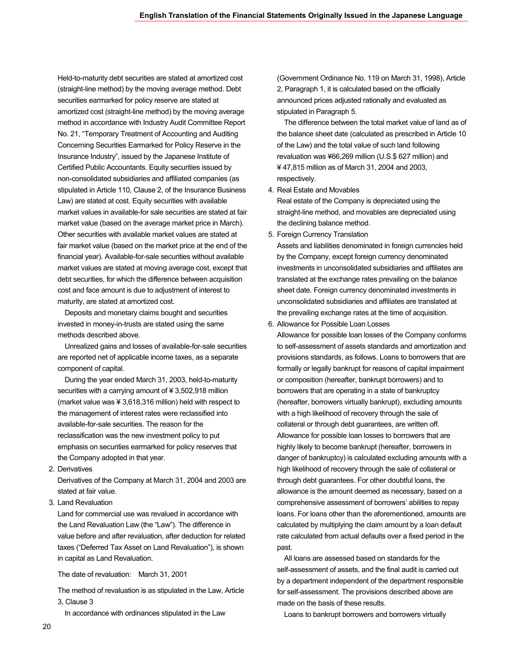Held-to-maturity debt securities are stated at amortized cost (straight-line method) by the moving average method. Debt securities earmarked for policy reserve are stated at amortized cost (straight-line method) by the moving average method in accordance with Industry Audit Committee Report No. 21, "Temporary Treatment of Accounting and Auditing Concerning Securities Earmarked for Policy Reserve in the Insurance Industry", issued by the Japanese Institute of Certified Public Accountants. Equity securities issued by non-consolidated subsidiaries and affiliated companies (as stipulated in Article 110, Clause 2, of the Insurance Business Law) are stated at cost. Equity securities with available market values in available-for sale securities are stated at fair market value (based on the average market price in March). Other securities with available market values are stated at fair market value (based on the market price at the end of the financial year). Available-for-sale securities without available market values are stated at moving average cost, except that debt securities, for which the difference between acquisition cost and face amount is due to adjustment of interest to maturity, are stated at amortized cost.

 Deposits and monetary claims bought and securities invested in money-in-trusts are stated using the same methods described above.

 Unrealized gains and losses of available-for-sale securities are reported net of applicable income taxes, as a separate component of capital.

 During the year ended March 31, 2003, held-to-maturity securities with a carrying amount of ¥ 3,502,918 million (market value was ¥ 3,618,316 million) held with respect to the management of interest rates were reclassified into available-for-sale securities. The reason for the reclassification was the new investment policy to put emphasis on securities earmarked for policy reserves that the Company adopted in that year.

2. Derivatives

Derivatives of the Company at March 31, 2004 and 2003 are stated at fair value.

3. Land Revaluation

Land for commercial use was revalued in accordance with the Land Revaluation Law (the "Law"). The difference in value before and after revaluation, after deduction for related taxes ("Deferred Tax Asset on Land Revaluation"), is shown in capital as Land Revaluation.

#### The date of revaluation: March 31, 2001

The method of revaluation is as stipulated in the Law, Article 3, Clause 3

In accordance with ordinances stipulated in the Law

(Government Ordinance No. 119 on March 31, 1998), Article 2, Paragraph 1, it is calculated based on the officially announced prices adjusted rationally and evaluated as stipulated in Paragraph 5.

 The difference between the total market value of land as of the balance sheet date (calculated as prescribed in Article 10 of the Law) and the total value of such land following revaluation was ¥66,269 million (U.S.\$ 627 million) and ¥ 47,815 million as of March 31, 2004 and 2003, respectively.

4. Real Estate and Movables

Real estate of the Company is depreciated using the straight-line method, and movables are depreciated using the declining balance method.

5. Foreign Currency Translation

Assets and liabilities denominated in foreign currencies held by the Company, except foreign currency denominated investments in unconsolidated subsidiaries and affiliates are translated at the exchange rates prevailing on the balance sheet date. Foreign currency denominated investments in unconsolidated subsidiaries and affiliates are translated at the prevailing exchange rates at the time of acquisition.

6. Allowance for Possible Loan Losses

Allowance for possible loan losses of the Company conforms to self-assessment of assets standards and amortization and provisions standards, as follows. Loans to borrowers that are formally or legally bankrupt for reasons of capital impairment or composition (hereafter, bankrupt borrowers) and to borrowers that are operating in a state of bankruptcy (hereafter, borrowers virtually bankrupt), excluding amounts with a high likelihood of recovery through the sale of collateral or through debt guarantees, are written off. Allowance for possible loan losses to borrowers that are highly likely to become bankrupt (hereafter, borrowers in danger of bankruptcy) is calculated excluding amounts with a high likelihood of recovery through the sale of collateral or through debt guarantees. For other doubtful loans, the allowance is the amount deemed as necessary, based on a comprehensive assessment of borrowers' abilities to repay loans. For loans other than the aforementioned, amounts are calculated by multiplying the claim amount by a loan default rate calculated from actual defaults over a fixed period in the past.

 All loans are assessed based on standards for the self-assessment of assets, and the final audit is carried out by a department independent of the department responsible for self-assessment. The provisions described above are made on the basis of these results.

Loans to bankrupt borrowers and borrowers virtually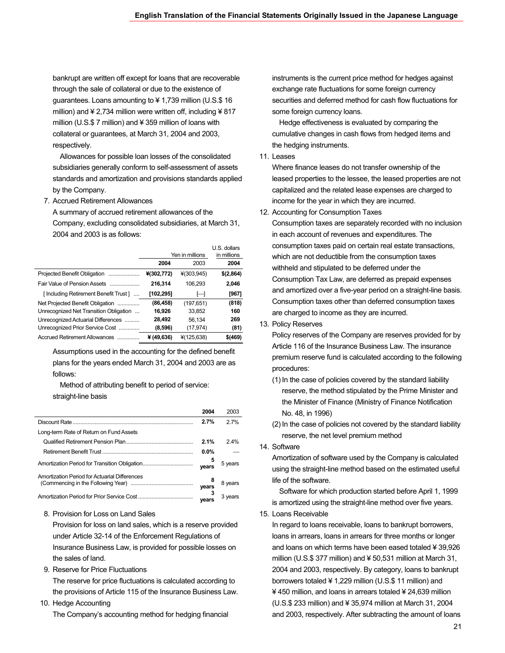bankrupt are written off except for loans that are recoverable through the sale of collateral or due to the existence of guarantees. Loans amounting to ¥ 1,739 million (U.S.\$ 16 million) and  $\neq 2,734$  million were written off, including  $\neq 817$ million (U.S.\$ 7 million) and ¥ 359 million of loans with collateral or guarantees, at March 31, 2004 and 2003, respectively.

 Allowances for possible loan losses of the consolidated subsidiaries generally conform to self-assessment of assets standards and amortization and provisions standards applied by the Company.

7. Accrued Retirement Allowances

A summary of accrued retirement allowances of the Company, excluding consolidated subsidiaries, at March 31, 2004 and 2003 is as follows:

|                                        | Yen in millions |            | U.S. dollars<br>in millions |
|----------------------------------------|-----------------|------------|-----------------------------|
|                                        | 2004            | 2003       | 2004                        |
| Projected Benefit Obligation           | ¥(302,772)      | ¥(303,945) | \$(2,864)                   |
| Fair Value of Pension Assets           | 216.314         | 106.293    | 2.046                       |
| [Including Retirement Benefit Trust]   | [102,295]       | $\vdash$   | [967]                       |
| Net Projected Benefit Obligation       | (86, 458)       | (197, 651) | (818)                       |
| Unrecognized Net Transition Obligation | 16.926          | 33.852     | 160                         |
| Unrecognized Actuarial Differences     | 28,492          | 56.134     | 269                         |
| Unrecognized Prior Service Cost        | (8,596)         | (17, 974)  | (81)                        |
| Accrued Retirement Allowances          | ¥ $(49, 636)$   | ¥(125,638) | \$(469)                     |

Assumptions used in the accounting for the defined benefit plans for the years ended March 31, 2004 and 2003 are as follows:

 Method of attributing benefit to period of service: straight-line basis

|                                               | 2004       | 2003    |
|-----------------------------------------------|------------|---------|
|                                               | 2.7%       | 27%     |
| Long-term Rate of Return on Fund Assets       |            |         |
|                                               | 2.1%       | 2.4%    |
|                                               | $0.0\%$    |         |
|                                               | 5<br>vears | 5 years |
| Amortization Period for Actuarial Differences |            |         |
|                                               |            | 8 years |
|                                               | years      | 3 years |
|                                               | vears      |         |

8. Provision for Loss on Land Sales

Provision for loss on land sales, which is a reserve provided under Article 32-14 of the Enforcement Regulations of Insurance Business Law, is provided for possible losses on the sales of land.

9. Reserve for Price Fluctuations

The reserve for price fluctuations is calculated according to the provisions of Article 115 of the Insurance Business Law.

10. Hedge Accounting

The Company's accounting method for hedging financial

instruments is the current price method for hedges against exchange rate fluctuations for some foreign currency securities and deferred method for cash flow fluctuations for some foreign currency loans.

 Hedge effectiveness is evaluated by comparing the cumulative changes in cash flows from hedged items and the hedging instruments.

11. Leases

Where finance leases do not transfer ownership of the leased properties to the lessee, the leased properties are not capitalized and the related lease expenses are charged to income for the year in which they are incurred.

12. Accounting for Consumption Taxes

Consumption taxes are separately recorded with no inclusion in each account of revenues and expenditures. The consumption taxes paid on certain real estate transactions, which are not deductible from the consumption taxes withheld and stipulated to be deferred under the Consumption Tax Law, are deferred as prepaid expenses and amortized over a five-year period on a straight-line basis. Consumption taxes other than deferred consumption taxes are charged to income as they are incurred.

13. Policy Reserves

Policy reserves of the Company are reserves provided for by Article 116 of the Insurance Business Law. The insurance premium reserve fund is calculated according to the following procedures:

- (1) In the case of policies covered by the standard liability reserve, the method stipulated by the Prime Minister and the Minister of Finance (Ministry of Finance Notification No. 48, in 1996)
- (2) In the case of policies not covered by the standard liability reserve, the net level premium method
- 14. Software

Amortization of software used by the Company is calculated using the straight-line method based on the estimated useful life of the software.

 Software for which production started before April 1, 1999 is amortized using the straight-line method over five years.

#### 15. Loans Receivable

In regard to loans receivable, loans to bankrupt borrowers, loans in arrears, loans in arrears for three months or longer and loans on which terms have been eased totaled ¥ 39,926 million (U.S.\$ 377 million) and ¥ 50,531 million at March 31, 2004 and 2003, respectively. By category, loans to bankrupt borrowers totaled ¥ 1,229 million (U.S.\$ 11 million) and ¥ 450 million, and loans in arrears totaled ¥ 24,639 million (U.S.\$ 233 million) and ¥ 35,974 million at March 31, 2004 and 2003, respectively. After subtracting the amount of loans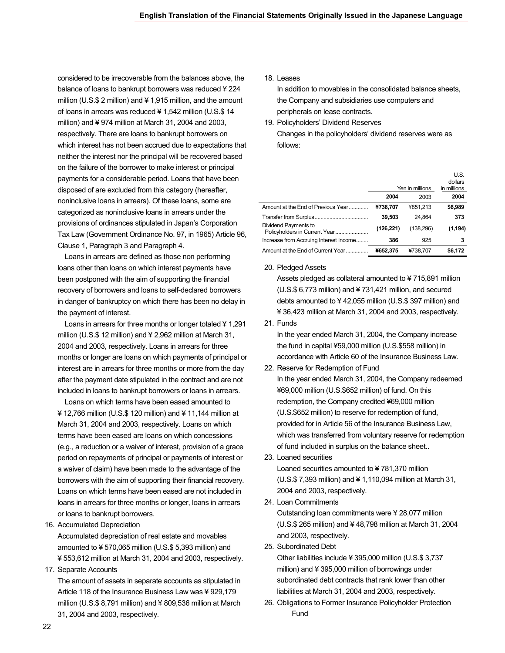considered to be irrecoverable from the balances above, the balance of loans to bankrupt borrowers was reduced ¥ 224 million (U.S.\$ 2 million) and ¥ 1,915 million, and the amount of loans in arrears was reduced ¥ 1,542 million (U.S.\$ 14 million) and ¥ 974 million at March 31, 2004 and 2003, respectively. There are loans to bankrupt borrowers on which interest has not been accrued due to expectations that neither the interest nor the principal will be recovered based on the failure of the borrower to make interest or principal payments for a considerable period. Loans that have been disposed of are excluded from this category (hereafter, noninclusive loans in arrears). Of these loans, some are categorized as noninclusive loans in arrears under the provisions of ordinances stipulated in Japan's Corporation Tax Law (Government Ordinance No. 97, in 1965) Article 96, Clause 1, Paragraph 3 and Paragraph 4.

 Loans in arrears are defined as those non performing loans other than loans on which interest payments have been postponed with the aim of supporting the financial recovery of borrowers and loans to self-declared borrowers in danger of bankruptcy on which there has been no delay in the payment of interest.

 Loans in arrears for three months or longer totaled ¥ 1,291 million (U.S.\$ 12 million) and ¥ 2,962 million at March 31, 2004 and 2003, respectively. Loans in arrears for three months or longer are loans on which payments of principal or interest are in arrears for three months or more from the day after the payment date stipulated in the contract and are not included in loans to bankrupt borrowers or loans in arrears.

 Loans on which terms have been eased amounted to ¥ 12,766 million (U.S.\$ 120 million) and ¥ 11,144 million at March 31, 2004 and 2003, respectively. Loans on which terms have been eased are loans on which concessions (e.g., a reduction or a waiver of interest, provision of a grace period on repayments of principal or payments of interest or a waiver of claim) have been made to the advantage of the borrowers with the aim of supporting their financial recovery. Loans on which terms have been eased are not included in loans in arrears for three months or longer, loans in arrears or loans to bankrupt borrowers.

16. Accumulated Depreciation

Accumulated depreciation of real estate and movables amounted to ¥ 570,065 million (U.S.\$ 5,393 million) and ¥ 553,612 million at March 31, 2004 and 2003, respectively.

17. Separate Accounts

The amount of assets in separate accounts as stipulated in Article 118 of the Insurance Business Law was ¥ 929,179 million (U.S.\$ 8,791 million) and ¥ 809,536 million at March 31, 2004 and 2003, respectively.

18. Leases

In addition to movables in the consolidated balance sheets, the Company and subsidiaries use computers and peripherals on lease contracts.

19. Policyholders' Dividend Reserves Changes in the policyholders' dividend reserves were as follows:

|                                        |           | Yen in millions | U.S.<br>dollars<br>in millions |
|----------------------------------------|-----------|-----------------|--------------------------------|
|                                        | 2004      | 2003            | 2004                           |
| Amount at the End of Previous Year     | ¥738,707  | ¥851.213        | \$6,989                        |
|                                        | 39,503    | 24.864          | 373                            |
| Dividend Payments to                   | (126,221) | (138, 296)      | (1, 194)                       |
| Increase from Accruing Interest Income | 386       | 925             | 3                              |
| Amount at the End of Current Year      | ¥652.375  | ¥738.707        | \$6.172                        |

#### 20. Pledged Assets

Assets pledged as collateral amounted to ¥ 715,891 million (U.S.\$ 6,773 million) and ¥ 731,421 million, and secured debts amounted to ¥ 42,055 million (U.S.\$ 397 million) and ¥ 36,423 million at March 31, 2004 and 2003, respectively.

21. Funds

In the year ended March 31, 2004, the Company increase the fund in capital ¥59,000 million (U.S.\$558 million) in accordance with Article 60 of the Insurance Business Law.

- 22. Reserve for Redemption of Fund In the year ended March 31, 2004, the Company redeemed ¥69,000 million (U.S.\$652 million) of fund. On this redemption, the Company credited ¥69,000 million (U.S.\$652 million) to reserve for redemption of fund, provided for in Article 56 of the Insurance Business Law, which was transferred from voluntary reserve for redemption of fund included in surplus on the balance sheet..
- 23. Loaned securities Loaned securities amounted to ¥ 781,370 million (U.S.\$ 7,393 million) and ¥ 1,110,094 million at March 31, 2004 and 2003, respectively.
- 24. Loan Commitments

Outstanding loan commitments were ¥ 28,077 million (U.S.\$ 265 million) and ¥ 48,798 million at March 31, 2004 and 2003, respectively.

25. Subordinated Debt

Other liabilities include ¥ 395,000 million (U.S.\$ 3,737 million) and ¥ 395,000 million of borrowings under subordinated debt contracts that rank lower than other liabilities at March 31, 2004 and 2003, respectively.

26. Obligations to Former Insurance Policyholder Protection Fund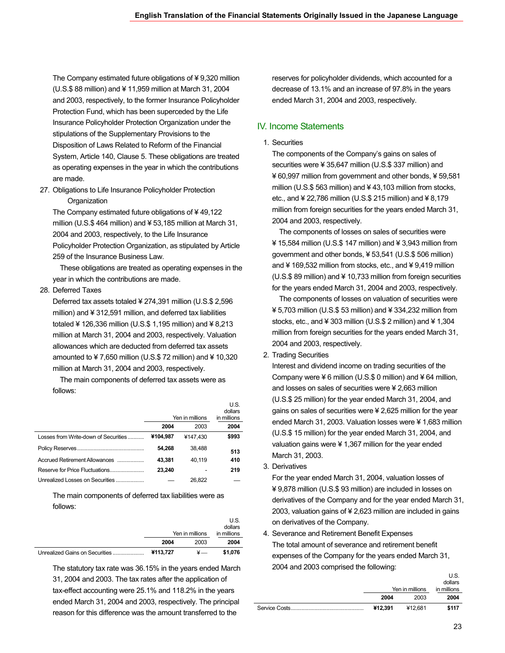The Company estimated future obligations of ¥ 9,320 million (U.S.\$ 88 million) and ¥ 11,959 million at March 31, 2004 and 2003, respectively, to the former Insurance Policyholder Protection Fund, which has been superceded by the Life Insurance Policyholder Protection Organization under the stipulations of the Supplementary Provisions to the Disposition of Laws Related to Reform of the Financial System, Article 140, Clause 5. These obligations are treated as operating expenses in the year in which the contributions are made.

27. Obligations to Life Insurance Policyholder Protection **Organization** 

The Company estimated future obligations of ¥ 49,122 million (U.S.\$ 464 million) and ¥ 53,185 million at March 31, 2004 and 2003, respectively, to the Life Insurance Policyholder Protection Organization, as stipulated by Article 259 of the Insurance Business Law.

 These obligations are treated as operating expenses in the year in which the contributions are made.

28. Deferred Taxes

Deferred tax assets totaled ¥ 274,391 million (U.S.\$ 2,596 million) and ¥ 312,591 million, and deferred tax liabilities totaled ¥ 126,336 million (U.S.\$ 1,195 million) and ¥ 8,213 million at March 31, 2004 and 2003, respectively. Valuation allowances which are deducted from deferred tax assets amounted to ¥ 7,650 million (U.S.\$ 72 million) and ¥ 10,320 million at March 31, 2004 and 2003, respectively.

 The main components of deferred tax assets were as follows:

|                                      |          | Yen in millions | U.S.<br>dollars<br>in millions |
|--------------------------------------|----------|-----------------|--------------------------------|
|                                      | 2004     | 2003            | 2004                           |
| Losses from Write-down of Securities | ¥104.987 | ¥147.430        | \$993                          |
|                                      | 54.268   | 38.488          | 513                            |
| Accrued Retirement Allowances        | 43.381   | 40.119          | 410                            |
|                                      | 23.240   |                 | 219                            |
| Unrealized Losses on Securities      |          | 26.822          |                                |

The main components of deferred tax liabilities were as follows:

|                                |          | Yen in millions | U.S.<br>dollars<br>in millions |
|--------------------------------|----------|-----------------|--------------------------------|
|                                | 2004     | 2003            | 2004                           |
| Unrealized Gains on Securities | ¥113.727 |                 | \$1.076                        |

The statutory tax rate was 36.15% in the years ended March 31, 2004 and 2003. The tax rates after the application of tax-effect accounting were 25.1% and 118.2% in the years ended March 31, 2004 and 2003, respectively. The principal reason for this difference was the amount transferred to the

reserves for policyholder dividends, which accounted for a decrease of 13.1% and an increase of 97.8% in the years ended March 31, 2004 and 2003, respectively.

#### IV. Income Statements

#### 1. Securities

The components of the Company's gains on sales of securities were ¥ 35,647 million (U.S.\$ 337 million) and ¥ 60,997 million from government and other bonds, ¥ 59,581 million (U.S.\$ 563 million) and ¥ 43,103 million from stocks, etc., and ¥ 22,786 million (U.S.\$ 215 million) and ¥ 8,179 million from foreign securities for the years ended March 31, 2004 and 2003, respectively.

 The components of losses on sales of securities were ¥ 15,584 million (U.S.\$ 147 million) and ¥ 3,943 million from government and other bonds, ¥ 53,541 (U.S.\$ 506 million) and ¥ 169,532 million from stocks, etc., and ¥ 9,419 million (U.S.\$ 89 million) and ¥ 10,733 million from foreign securities for the years ended March 31, 2004 and 2003, respectively.

 The components of losses on valuation of securities were ¥ 5,703 million (U.S.\$ 53 million) and ¥ 334,232 million from stocks, etc., and ¥ 303 million (U.S.\$ 2 million) and ¥ 1,304 million from foreign securities for the years ended March 31, 2004 and 2003, respectively.

2. Trading Securities

Interest and dividend income on trading securities of the Company were  $46$  million (U.S.\$ 0 million) and  $464$  million, and losses on sales of securities were ¥ 2,663 million (U.S.\$ 25 million) for the year ended March 31, 2004, and gains on sales of securities were ¥ 2,625 million for the year ended March 31, 2003. Valuation losses were ¥ 1,683 million (U.S.\$ 15 million) for the year ended March 31, 2004, and valuation gains were ¥ 1,367 million for the year ended March 31, 2003.

3. Derivatives

For the year ended March 31, 2004, valuation losses of ¥ 9,878 million (U.S.\$ 93 million) are included in losses on derivatives of the Company and for the year ended March 31, 2003, valuation gains of ¥ 2,623 million are included in gains on derivatives of the Company.

4. Severance and Retirement Benefit Expenses The total amount of severance and retirement benefit expenses of the Company for the years ended March 31, 2004 and 2003 comprised the following:

| Yen in millions |         | U.S.<br>dollars<br>in millions |
|-----------------|---------|--------------------------------|
| 2004            | 2003    | 2004                           |
| ¥12.391         | ¥12.681 | \$117                          |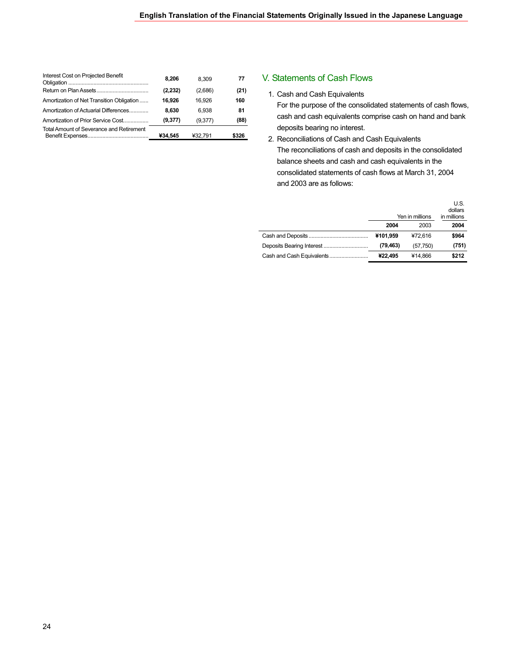| Interest Cost on Projected Benefit        | 8.206    | 8.309   | 77    |
|-------------------------------------------|----------|---------|-------|
|                                           | (2, 232) | (2,686) | (21)  |
| Amortization of Net Transition Obligation | 16.926   | 16.926  | 160   |
| Amortization of Actuarial Differences     | 8.630    | 6.938   | 81    |
| Amortization of Prior Service Cost        | (9,377)  | (9,377) | (88)  |
| Total Amount of Severance and Retirement  | ¥34.545  | ¥32.791 | \$326 |

#### V. Statements of Cash Flows

1. Cash and Cash Equivalents

For the purpose of the consolidated statements of cash flows, cash and cash equivalents comprise cash on hand and bank deposits bearing no interest.

2. Reconciliations of Cash and Cash Equivalents The reconciliations of cash and deposits in the consolidated balance sheets and cash and cash equivalents in the consolidated statements of cash flows at March 31, 2004 and 2003 are as follows:

|           | Yen in millions | U.S.<br>dollars<br>in millions |
|-----------|-----------------|--------------------------------|
| 2004      | 2003            | 2004                           |
| ¥101.959  | ¥72.616         | \$964                          |
| (79, 463) | (57,750)        | (751)                          |
| ¥22.495   | ¥14.866         | \$212                          |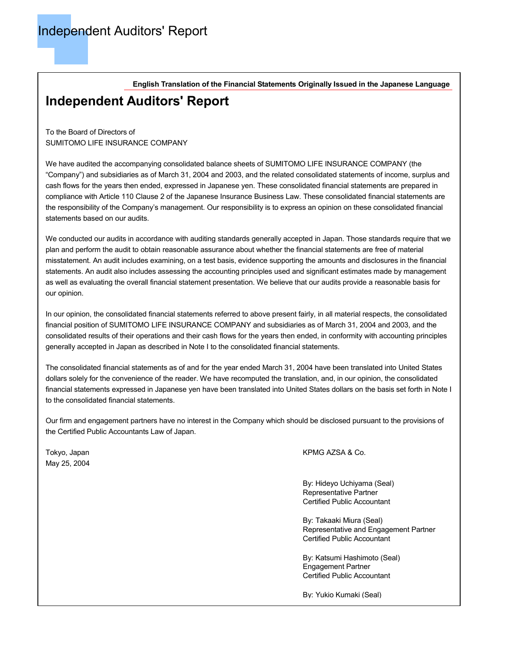**English Translation of the Financial Statements Originally Issued in the Japanese Language**

### **Independent Auditors' Report**

To the Board of Directors of SUMITOMO LIFE INSURANCE COMPANY

We have audited the accompanying consolidated balance sheets of SUMITOMO LIFE INSURANCE COMPANY (the "Company") and subsidiaries as of March 31, 2004 and 2003, and the related consolidated statements of income, surplus and cash flows for the years then ended, expressed in Japanese yen. These consolidated financial statements are prepared in compliance with Article 110 Clause 2 of the Japanese Insurance Business Law. These consolidated financial statements are the responsibility of the Company's management. Our responsibility is to express an opinion on these consolidated financial statements based on our audits.

We conducted our audits in accordance with auditing standards generally accepted in Japan. Those standards require that we plan and perform the audit to obtain reasonable assurance about whether the financial statements are free of material misstatement. An audit includes examining, on a test basis, evidence supporting the amounts and disclosures in the financial statements. An audit also includes assessing the accounting principles used and significant estimates made by management as well as evaluating the overall financial statement presentation. We believe that our audits provide a reasonable basis for our opinion.

In our opinion, the consolidated financial statements referred to above present fairly, in all material respects, the consolidated financial position of SUMITOMO LIFE INSURANCE COMPANY and subsidiaries as of March 31, 2004 and 2003, and the consolidated results of their operations and their cash flows for the years then ended, in conformity with accounting principles generally accepted in Japan as described in Note I to the consolidated financial statements.

The consolidated financial statements as of and for the year ended March 31, 2004 have been translated into United States dollars solely for the convenience of the reader. We have recomputed the translation, and, in our opinion, the consolidated financial statements expressed in Japanese yen have been translated into United States dollars on the basis set forth in Note I to the consolidated financial statements.

Our firm and engagement partners have no interest in the Company which should be disclosed pursuant to the provisions of the Certified Public Accountants Law of Japan.

May 25, 2004

Tokyo, Japan KPMG AZSA & Co.

By: Hideyo Uchiyama (Seal) Representative Partner Certified Public Accountant

By: Takaaki Miura (Seal) Representative and Engagement Partner Certified Public Accountant

By: Katsumi Hashimoto (Seal) Engagement Partner Certified Public Accountant

By: Yukio Kumaki (Seal)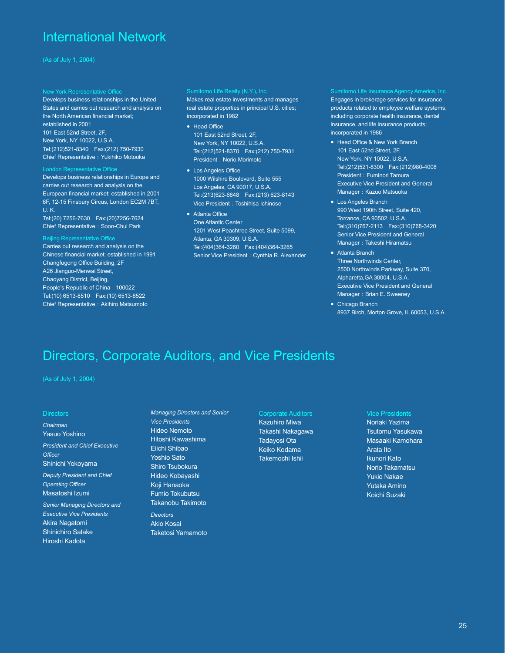### International Network

#### New York Representative Office

Develops business relationships in the United States and carries out research and analysis on the North American financial market; established in 2001 101 East 52nd Street, 2F, New York, NY 10022, U.S.A. Tel:(212)521-8340 Fax:(212) 750-7930 Chief Representative: Yukihiko Motooka

#### London Representative Office

Develops business relationships in Europe and carries out research and analysis on the European financial market; established in 2001 6F, 12-15 Finsbury Circus, London EC2M 7BT, U. K.

Tel:(20) 7256-7630 Fax:(20)7256-7624 Chief Representative: Soon-Chul Park

#### Beijing Representative Office

Carries out research and analysis on the Chinese financial market; established in 1991 Changfugong Office Building, 2F A26 Jianguo-Menwai Street, Chaoyang District, Beijing, People's Republic of China 100022 Tel:(10) 6513-8510 Fax:(10) 6513-8522 Chief Representative: Akihiro Matsumoto

#### Sumitomo Life Realty (N.Y.), Inc.

Makes real estate investments and manages real estate properties in principal U.S. cities; incorporated in 1982

- Head Office 101 East 52nd Street, 2F, New York, NY 10022, U.S.A. Tel:(212)521-8370 Fax:(212) 750-7931 President: Norio Morimoto
- Los Angeles Office 1000 Wilshire Boulevard, Suite 555 Los Angeles, CA 90017, U.S.A. Tel:(213)623-6848 Fax:(213) 623-8143 Vice President: Toshihisa Ichinose
- Atlanta Office One Atlantic Center 1201 West Peachtree Street, Suite 5099, Atlanta, GA 30309, U.S.A. Tel:(404)364-3260 Fax:(404)364-3265 Senior Vice President: Cynthia R. Alexander

Sumitomo Life Insurance Agency America, Inc. Engages in brokerage services for insurance products related to employee welfare systems, including corporate health insurance, dental insurance, and life insurance products; incorporated in 1986

- Head Office & New York Branch 101 East 52nd Street, 2F, New York, NY 10022, U.S.A. Tel:(212)521-8300 Fax:(212)980-4008 President: Fuminori Tamura Executive Vice President and General Manager: Kazuo Matsuoka
- Los Angeles Branch 990 West 190th Street, Suite 420, Torrance, CA 90502, U.S.A. Tel:(310)767-2113 Fax:(310)768-3420 Senior Vice President and General Manager: Takeshi Hiramatsu
- Atlanta Branch Three Northwinds Center, 2500 Northwinds Parkway, Suite 370, Alpharetta,GA 30004, U.S.A. Executive Vice President and General Manager: Brian E. Sweeney
- Chicago Branch 8937 Birch, Morton Grove, IL 60053, U.S.A.

### Directors, Corporate Auditors, and Vice Presidents

(As of July 1, 2004)

#### **Directors**

*Chairman*  Yasuo Yoshino

*President and Chief Executive Officer*  Shinichi Yokoyama

*Deputy President and Chief Operating Officer*  Masatoshi Izumi

*Senior Managing Directors and Executive Vice Presidents*  Akira Nagatomi Shinichiro Satake Hiroshi Kadota

*Managing Directors and Senior Vice Presidents*  Hideo Nemoto Hitoshi Kawashima Eiichi Shibao Yoshio Sato Shiro Tsubokura Hideo Kobayashi Koji Hanaoka Fumio Tokubutsu Takanobu Takimoto

*Directors*  Akio Kosai Taketosi Yamamoto

Corporate Auditors Kazuhiro Miwa Takashi Nakagawa Tadayosi Ota Keiko Kodama Takemochi Ishii

#### Vice Presidents

Noriaki Yazima Tsutomu Yasukawa Masaaki Kamohara Arata Ito Ikunori Kato Norio Takamatsu Yukio Nakae Yutaka Amino Koichi Suzaki